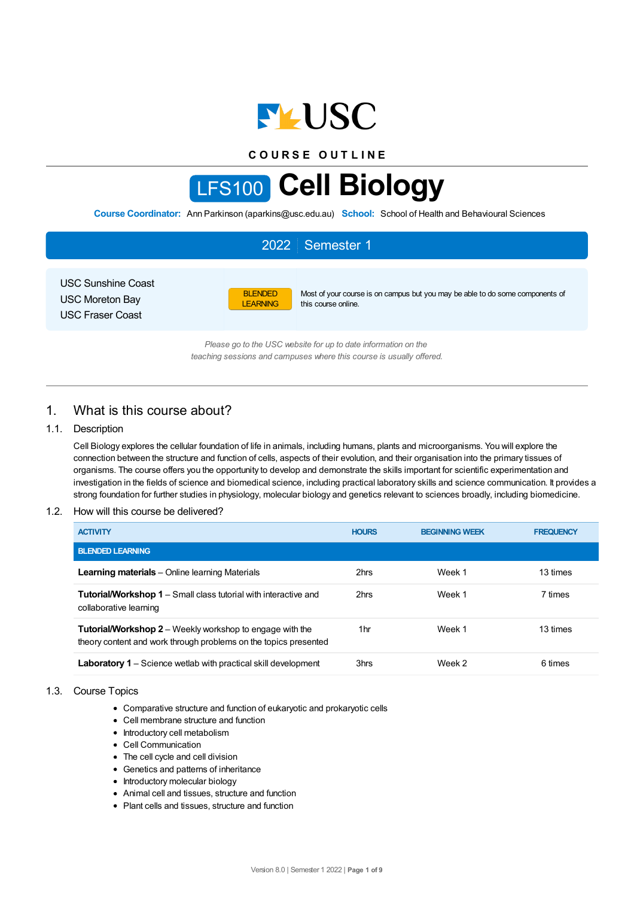

**C O U R S E O U T L I N E**

# LFS100 **Cell Biology**

**Course Coordinator:** Ann Parkinson (aparkins@usc.edu.au) **School:** School of Health and Behavioural Sciences

|                                                                                |                                   | 2022 Semester 1                                                                                                                        |
|--------------------------------------------------------------------------------|-----------------------------------|----------------------------------------------------------------------------------------------------------------------------------------|
| <b>USC Sunshine Coast</b><br><b>USC Moreton Bay</b><br><b>USC Fraser Coast</b> | <b>BLENDED</b><br><b>LEARNING</b> | Most of your course is on campus but you may be able to do some components of<br>this course online.                                   |
|                                                                                |                                   | Please go to the USC website for up to date information on the<br>teaching sessions and campuses where this course is usually offered. |

1. What is this course about?

# 1.1. Description

Cell Biology explores the cellular foundation of life in animals, including humans, plants and microorganisms. You will explore the connection between the structure and function of cells, aspects of their evolution, and their organisation into the primary tissues of organisms. The course offers you the opportunity to develop and demonstrate the skills important for scientific experimentation and investigation in the fields of science and biomedical science, including practical laboratory skills and science communication. It provides a strong foundation for further studies in physiology, molecular biology and genetics relevant to sciences broadly, including biomedicine.

### 1.2. How will this course be delivered?

| <b>ACTIVITY</b>                                                                                                                     | <b>HOURS</b> | <b>BEGINNING WEEK</b> | <b>FREQUENCY</b> |
|-------------------------------------------------------------------------------------------------------------------------------------|--------------|-----------------------|------------------|
| <b>BLENDED LEARNING</b>                                                                                                             |              |                       |                  |
| <b>Learning materials</b> – Online learning Materials                                                                               | 2hrs         | Week 1                | 13 times         |
| <b>Tutorial/Workshop 1</b> – Small class tutorial with interactive and<br>collaborative learning                                    | 2hrs         | Week 1                | 7 times          |
| <b>Tutorial/Workshop 2</b> – Weekly workshop to engage with the<br>theory content and work through problems on the topics presented | 1hr          | Week 1                | 13 times         |
| <b>Laboratory 1</b> – Science wetlab with practical skill development                                                               | 3hrs         | Week 2                | 6 times          |

### 1.3. Course Topics

- Comparative structure and function of eukaryotic and prokaryotic cells
- Cell membrane structure and function
- Introductory cell metabolism
- Cell Communication
- The cell cycle and cell division
- Genetics and patterns of inheritance
- Introductory molecular biology
- Animal cell and tissues, structure and function
- Plant cells and tissues, structure and function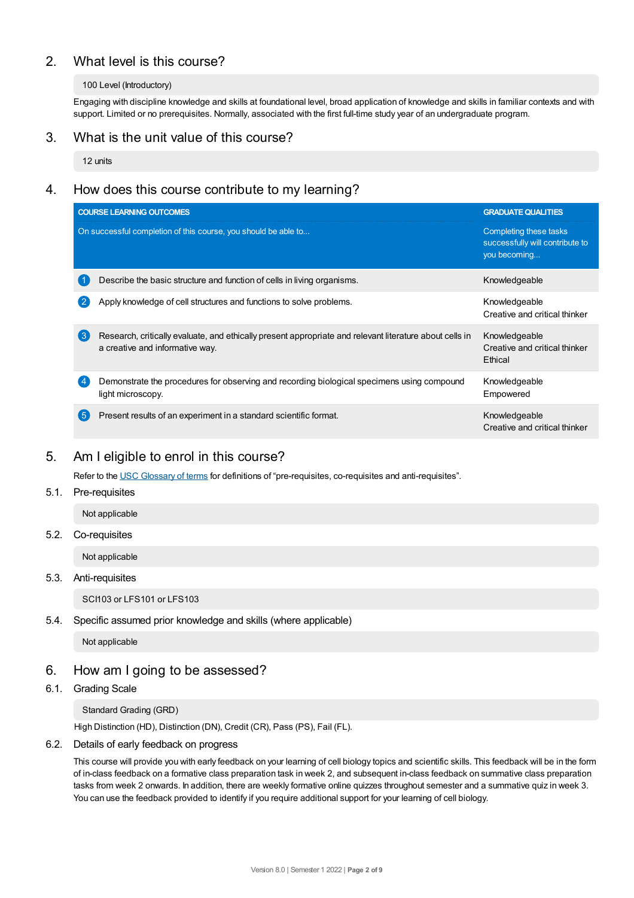# 2. What level is this course?

# 100 Level (Introductory)

Engaging with discipline knowledge and skills at foundational level, broad application of knowledge and skills in familiar contexts and with support. Limited or no prerequisites. Normally, associated with the first full-time study year of an undergraduate program.

# 3. What is the unit value of this course?

12 units

# 4. How does this course contribute to my learning?

|                  | <b>COURSE LEARNING OUTCOMES</b>                                                                                                            | <b>GRADUATE QUALITIES</b>                                                 |
|------------------|--------------------------------------------------------------------------------------------------------------------------------------------|---------------------------------------------------------------------------|
|                  | On successful completion of this course, you should be able to                                                                             | Completing these tasks<br>successfully will contribute to<br>you becoming |
|                  | Describe the basic structure and function of cells in living organisms.                                                                    | Knowledgeable                                                             |
| (2)              | Apply knowledge of cell structures and functions to solve problems.                                                                        | Knowledgeable<br>Creative and critical thinker                            |
| $\left(3\right)$ | Research, critically evaluate, and ethically present appropriate and relevant literature about cells in<br>a creative and informative way. | Knowledgeable<br>Creative and critical thinker<br>Ethical                 |
| $\sqrt{4}$       | Demonstrate the procedures for observing and recording biological specimens using compound<br>light microscopy.                            | Knowledgeable<br>Empowered                                                |
| 【5               | Present results of an experiment in a standard scientific format.                                                                          | Knowledgeable<br>Creative and critical thinker                            |

# 5. Am Ieligible to enrol in this course?

Refer to the USC [Glossary](https://www.usc.edu.au/about/policies-and-procedures/glossary-of-terms-for-policy-and-procedures) of terms for definitions of "pre-requisites, co-requisites and anti-requisites".

# 5.1. Pre-requisites

Not applicable

### 5.2. Co-requisites

Not applicable

# 5.3. Anti-requisites

SCI103 or LFS101 or LFS103

# 5.4. Specific assumed prior knowledge and skills (where applicable)

Not applicable

# 6. How am Igoing to be assessed?

### 6.1. Grading Scale

Standard Grading (GRD)

High Distinction (HD), Distinction (DN), Credit (CR), Pass (PS), Fail (FL).

### 6.2. Details of early feedback on progress

This course will provide you with early feedback on your learning of cell biology topics and scientific skills. This feedback will be in the form of in-class feedback on a formative class preparation task in week 2, and subsequent in-class feedback on summative class preparation tasks from week 2 onwards. In addition, there are weekly formative online quizzes throughout semester and a summative quiz in week 3. You can use the feedback provided to identify if you require additional support for your learning of cell biology.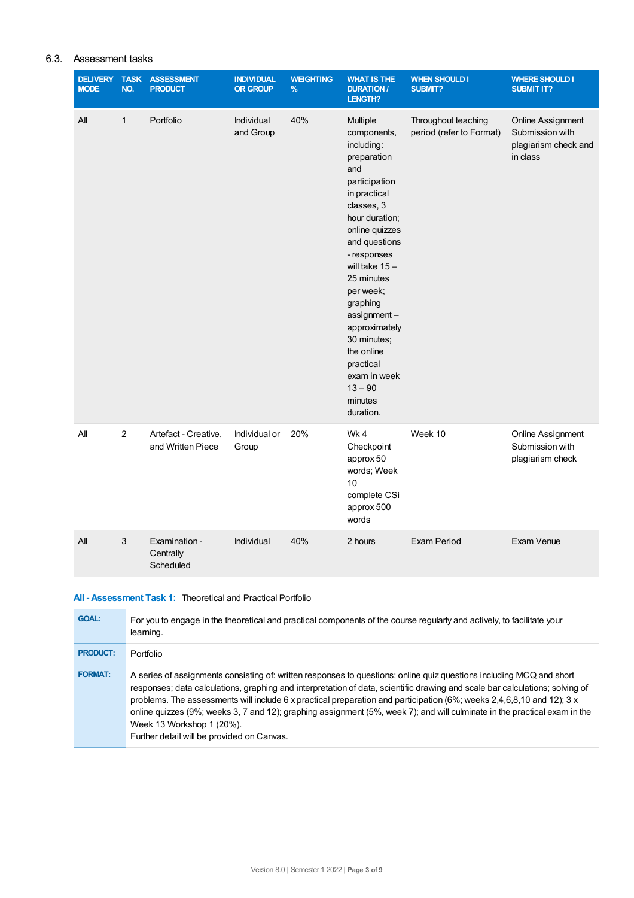# 6.3. Assessment tasks

| <b>DELIVERY</b><br><b>MODE</b> | <b>TASK</b><br>NO. | <b>ASSESSMENT</b><br><b>PRODUCT</b>       | <b>INDIVIDUAL</b><br><b>OR GROUP</b> | <b>WEIGHTING</b><br>% | <b>WHAT IS THE</b><br><b>DURATION /</b><br>LENGTH?                                                                                                                                                                                                                                                                                                                       | <b>WHEN SHOULD I</b><br>SUBMIT?                 | <b>WHERE SHOULD I</b><br><b>SUBMIT IT?</b>                               |
|--------------------------------|--------------------|-------------------------------------------|--------------------------------------|-----------------------|--------------------------------------------------------------------------------------------------------------------------------------------------------------------------------------------------------------------------------------------------------------------------------------------------------------------------------------------------------------------------|-------------------------------------------------|--------------------------------------------------------------------------|
| All                            | $\mathbf{1}$       | Portfolio                                 | Individual<br>and Group              | 40%                   | Multiple<br>components,<br>including:<br>preparation<br>and<br>participation<br>in practical<br>classes, 3<br>hour duration;<br>online quizzes<br>and questions<br>- responses<br>will take $15 -$<br>25 minutes<br>per week;<br>graphing<br>assignment-<br>approximately<br>30 minutes;<br>the online<br>practical<br>exam in week<br>$13 - 90$<br>minutes<br>duration. | Throughout teaching<br>period (refer to Format) | Online Assignment<br>Submission with<br>plagiarism check and<br>in class |
| All                            | $\overline{c}$     | Artefact - Creative,<br>and Written Piece | Individual or<br>Group               | 20%                   | Wk4<br>Checkpoint<br>approx 50<br>words; Week<br>10<br>complete CSi<br>approx 500<br>words                                                                                                                                                                                                                                                                               | Week 10                                         | Online Assignment<br>Submission with<br>plagiarism check                 |
| All                            | 3                  | Examination -<br>Centrally<br>Scheduled   | Individual                           | 40%                   | 2 hours                                                                                                                                                                                                                                                                                                                                                                  | Exam Period                                     | Exam Venue                                                               |

# **All - Assessment Task 1:** Theoretical and Practical Portfolio

| <b>GOAL:</b>    | For you to engage in the theoretical and practical components of the course regularly and actively, to facilitate your<br>learning.                                                                                                                                                                                                                                                                                                                                                                                                                                                   |
|-----------------|---------------------------------------------------------------------------------------------------------------------------------------------------------------------------------------------------------------------------------------------------------------------------------------------------------------------------------------------------------------------------------------------------------------------------------------------------------------------------------------------------------------------------------------------------------------------------------------|
| <b>PRODUCT:</b> | Portfolio                                                                                                                                                                                                                                                                                                                                                                                                                                                                                                                                                                             |
| <b>FORMAT:</b>  | A series of assignments consisting of: written responses to questions; online quiz questions including MCQ and short<br>responses; data calculations, graphing and interpretation of data, scientific drawing and scale bar calculations; solving of<br>problems. The assessments will include 6 x practical preparation and participation (6%; weeks 2,4,6,8,10 and 12); 3 x<br>online quizzes (9%; weeks 3, 7 and 12); graphing assignment (5%, week 7); and will culminate in the practical exam in the<br>Week 13 Workshop 1 (20%).<br>Further detail will be provided on Canvas. |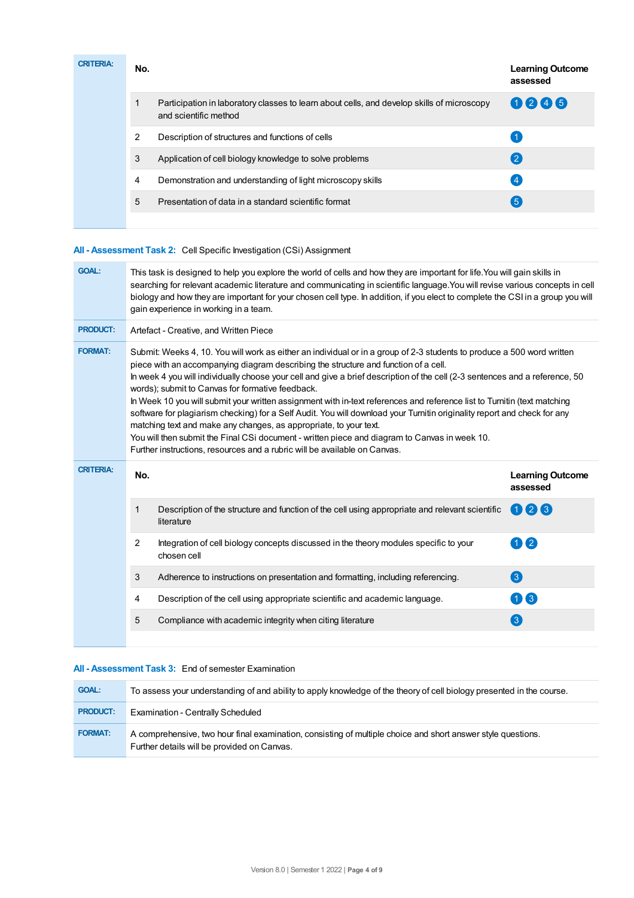| <b>CRITERIA:</b> | No. |                                                                                                                     | <b>Learning Outcome</b><br>assessed |
|------------------|-----|---------------------------------------------------------------------------------------------------------------------|-------------------------------------|
|                  |     | Participation in laboratory classes to learn about cells, and develop skills of microscopy<br>and scientific method | 0246                                |
|                  | 2   | Description of structures and functions of cells                                                                    |                                     |
|                  | 3   | Application of cell biology knowledge to solve problems                                                             | 【2】                                 |
|                  | 4   | Demonstration and understanding of light microscopy skills                                                          | $\overline{4}$                      |
|                  | 5   | Presentation of data in a standard scientific format                                                                | (5)                                 |
|                  |     |                                                                                                                     |                                     |

# **All - Assessment Task 2:** Cell Specific Investigation (CSi) Assignment

| <b>GOAL:</b>     | This task is designed to help you explore the world of cells and how they are important for life. You will gain skills in<br>searching for relevant academic literature and communicating in scientific language. You will revise various concepts in cell<br>biology and how they are important for your chosen cell type. In addition, if you elect to complete the CSI in a group you will<br>gain experience in working in a team.                                                                                                                                                                                                                                                                                                                                                                                                                                                                       |                                                                                                               |                                     |  |  |  |  |
|------------------|--------------------------------------------------------------------------------------------------------------------------------------------------------------------------------------------------------------------------------------------------------------------------------------------------------------------------------------------------------------------------------------------------------------------------------------------------------------------------------------------------------------------------------------------------------------------------------------------------------------------------------------------------------------------------------------------------------------------------------------------------------------------------------------------------------------------------------------------------------------------------------------------------------------|---------------------------------------------------------------------------------------------------------------|-------------------------------------|--|--|--|--|
| <b>PRODUCT:</b>  | Artefact - Creative, and Written Piece                                                                                                                                                                                                                                                                                                                                                                                                                                                                                                                                                                                                                                                                                                                                                                                                                                                                       |                                                                                                               |                                     |  |  |  |  |
| <b>FORMAT:</b>   | Submit: Weeks 4, 10. You will work as either an individual or in a group of 2-3 students to produce a 500 word written<br>piece with an accompanying diagram describing the structure and function of a cell.<br>In week 4 you will individually choose your cell and give a brief description of the cell (2-3 sentences and a reference, 50<br>words); submit to Canvas for formative feedback.<br>In Week 10 you will submit your written assignment with in-text references and reference list to Turnitin (text matching<br>software for plagiarism checking) for a Self Audit. You will download your Turnitin originality report and check for any<br>matching text and make any changes, as appropriate, to your text.<br>You will then submit the Final CSi document - written piece and diagram to Canvas in week 10.<br>Further instructions, resources and a rubric will be available on Canvas. |                                                                                                               |                                     |  |  |  |  |
|                  |                                                                                                                                                                                                                                                                                                                                                                                                                                                                                                                                                                                                                                                                                                                                                                                                                                                                                                              |                                                                                                               |                                     |  |  |  |  |
| <b>CRITERIA:</b> | No.                                                                                                                                                                                                                                                                                                                                                                                                                                                                                                                                                                                                                                                                                                                                                                                                                                                                                                          |                                                                                                               | <b>Learning Outcome</b><br>assessed |  |  |  |  |
|                  | $\mathbf{1}$                                                                                                                                                                                                                                                                                                                                                                                                                                                                                                                                                                                                                                                                                                                                                                                                                                                                                                 | Description of the structure and function of the cell using appropriate and relevant scientific<br>literature | 006                                 |  |  |  |  |
|                  | $\overline{2}$                                                                                                                                                                                                                                                                                                                                                                                                                                                                                                                                                                                                                                                                                                                                                                                                                                                                                               | Integration of cell biology concepts discussed in the theory modules specific to your<br>chosen cell          | 0 2                                 |  |  |  |  |
|                  | 3                                                                                                                                                                                                                                                                                                                                                                                                                                                                                                                                                                                                                                                                                                                                                                                                                                                                                                            | Adherence to instructions on presentation and formatting, including referencing.                              | 3                                   |  |  |  |  |
|                  | 4                                                                                                                                                                                                                                                                                                                                                                                                                                                                                                                                                                                                                                                                                                                                                                                                                                                                                                            | Description of the cell using appropriate scientific and academic language.                                   | 08                                  |  |  |  |  |

# **All - Assessment Task 3:** End of semester Examination

| <b>GOAL:</b>    | To assess your understanding of and ability to apply knowledge of the theory of cell biology presented in the course.                                       |
|-----------------|-------------------------------------------------------------------------------------------------------------------------------------------------------------|
| <b>PRODUCT:</b> | Examination - Centrally Scheduled                                                                                                                           |
| <b>FORMAT:</b>  | A comprehensive, two hour final examination, consisting of multiple choice and short answer style questions.<br>Further details will be provided on Canvas. |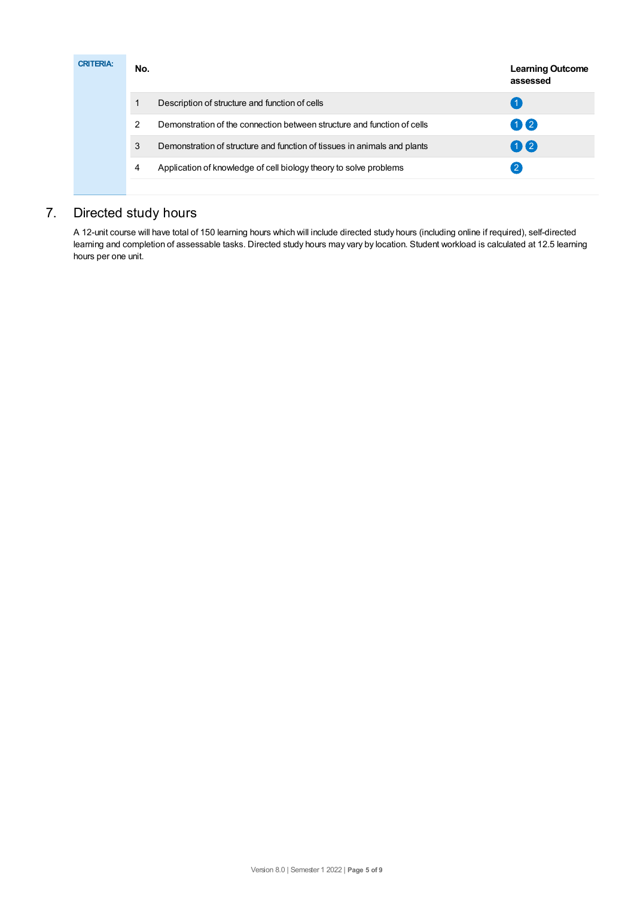| <b>CRITERIA:</b> | No. |                                                                          | <b>Learning Outcome</b><br>assessed |
|------------------|-----|--------------------------------------------------------------------------|-------------------------------------|
|                  |     | Description of structure and function of cells                           |                                     |
|                  | 2   | Demonstration of the connection between structure and function of cells  | $\mathbf{1}$                        |
|                  | 3   | Demonstration of structure and function of tissues in animals and plants | $\mathbf{0}$                        |
|                  | 4   | Application of knowledge of cell biology theory to solve problems        | 2                                   |
|                  |     |                                                                          |                                     |

# 7. Directed study hours

A 12-unit course will have total of 150 learning hours which will include directed study hours (including online if required), self-directed learning and completion of assessable tasks. Directed study hours may vary by location. Student workload is calculated at 12.5 learning hours per one unit.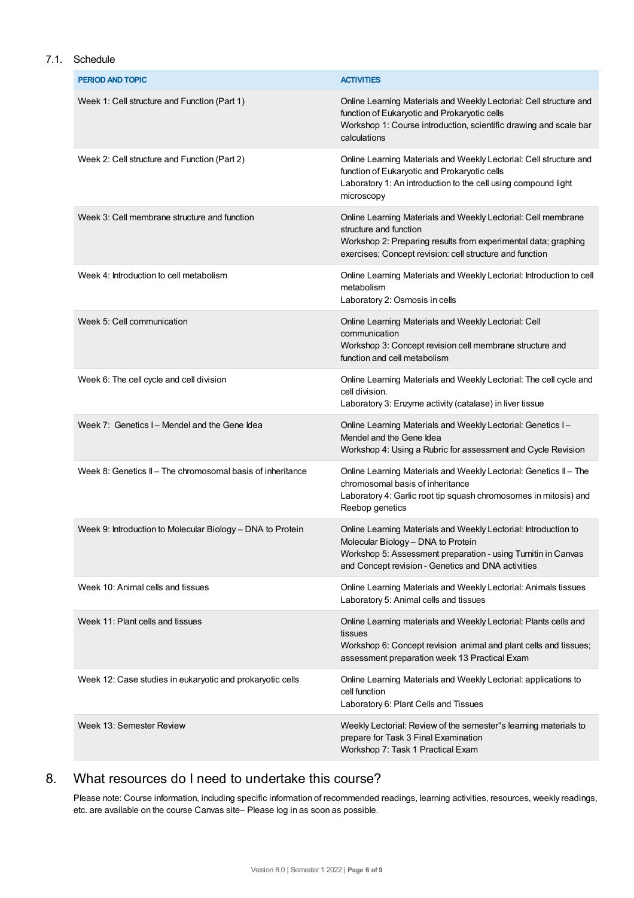# 7.1. Schedule

| <b>PERIOD AND TOPIC</b>                                    | <b>ACTIVITIES</b>                                                                                                                                                                                                            |
|------------------------------------------------------------|------------------------------------------------------------------------------------------------------------------------------------------------------------------------------------------------------------------------------|
| Week 1: Cell structure and Function (Part 1)               | Online Learning Materials and Weekly Lectorial: Cell structure and<br>function of Eukaryotic and Prokaryotic cells<br>Workshop 1: Course introduction, scientific drawing and scale bar<br>calculations                      |
| Week 2: Cell structure and Function (Part 2)               | Online Learning Materials and Weekly Lectorial: Cell structure and<br>function of Eukaryotic and Prokaryotic cells<br>Laboratory 1: An introduction to the cell using compound light<br>microscopy                           |
| Week 3: Cell membrane structure and function               | Online Learning Materials and Weekly Lectorial: Cell membrane<br>structure and function<br>Workshop 2: Preparing results from experimental data; graphing<br>exercises; Concept revision: cell structure and function        |
| Week 4: Introduction to cell metabolism                    | Online Learning Materials and Weekly Lectorial: Introduction to cell<br>metabolism<br>Laboratory 2: Osmosis in cells                                                                                                         |
| Week 5: Cell communication                                 | Online Learning Materials and Weekly Lectorial: Cell<br>communication<br>Workshop 3: Concept revision cell membrane structure and<br>function and cell metabolism                                                            |
| Week 6: The cell cycle and cell division                   | Online Learning Materials and Weekly Lectorial: The cell cycle and<br>cell division.<br>Laboratory 3: Enzyme activity (catalase) in liver tissue                                                                             |
| Week 7: Genetics I – Mendel and the Gene Idea              | Online Learning Materials and Weekly Lectorial: Genetics I-<br>Mendel and the Gene Idea<br>Workshop 4: Using a Rubric for assessment and Cycle Revision                                                                      |
| Week 8: Genetics II - The chromosomal basis of inheritance | Online Learning Materials and Weekly Lectorial: Genetics II - The<br>chromosomal basis of inheritance<br>Laboratory 4: Garlic root tip squash chromosomes in mitosis) and<br>Reebop genetics                                 |
| Week 9: Introduction to Molecular Biology - DNA to Protein | Online Learning Materials and Weekly Lectorial: Introduction to<br>Molecular Biology - DNA to Protein<br>Workshop 5: Assessment preparation - using Turnitin in Canvas<br>and Concept revision - Genetics and DNA activities |
| Week 10: Animal cells and tissues                          | Online Learning Materials and Weekly Lectorial: Animals tissues<br>Laboratory 5: Animal cells and tissues                                                                                                                    |
| Week 11: Plant cells and tissues                           | Online Learning materials and Weekly Lectorial: Plants cells and<br>tissues<br>Workshop 6: Concept revision animal and plant cells and tissues;<br>assessment preparation week 13 Practical Exam                             |
| Week 12: Case studies in eukaryotic and prokaryotic cells  | Online Learning Materials and Weekly Lectorial: applications to<br>cell function<br>Laboratory 6: Plant Cells and Tissues                                                                                                    |
| Week 13: Semester Review                                   | Weekly Lectorial: Review of the semester"s learning materials to<br>prepare for Task 3 Final Examination<br>Workshop 7: Task 1 Practical Exam                                                                                |

# 8. What resources do I need to undertake this course?

Please note: Course information, including specific information of recommended readings, learning activities, resources, weekly readings, etc. are available on the course Canvas site– Please log in as soon as possible.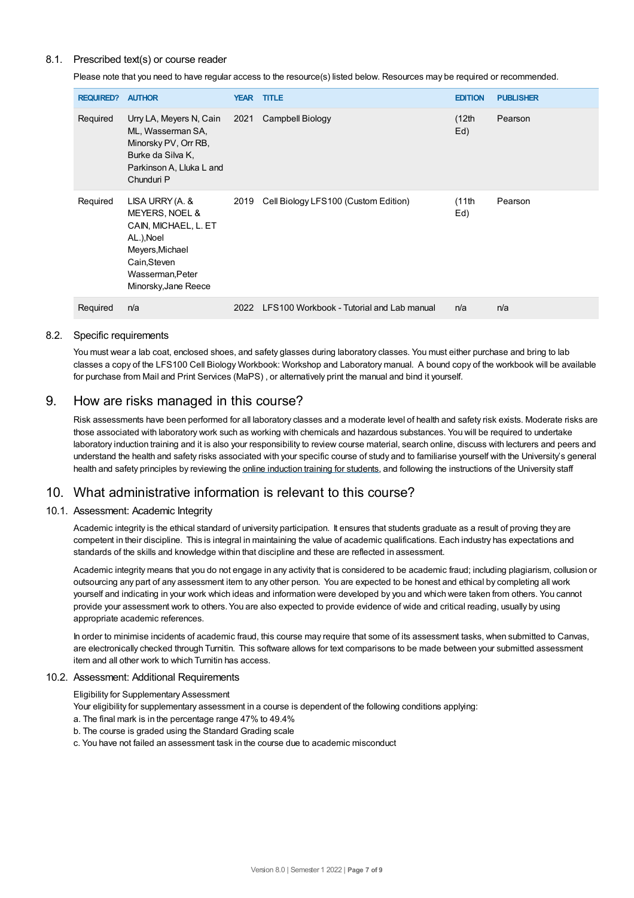# 8.1. Prescribed text(s) or course reader

Please note that you need to have regular access to the resource(s) listed below. Resources may be required or recommended.

| <b>REQUIRED?</b> | <b>AUTHOR</b>                                                                                                                                          | <b>YEAR</b> | <b>TITLE</b>                              | <b>EDITION</b> | <b>PUBLISHER</b> |
|------------------|--------------------------------------------------------------------------------------------------------------------------------------------------------|-------------|-------------------------------------------|----------------|------------------|
| Required         | Urry LA, Meyers N, Cain<br>ML, Wasserman SA,<br>Minorsky PV, Orr RB,<br>Burke da Silva K,<br>Parkinson A, Lluka L and<br>Chunduri P                    | 2021        | Campbell Biology                          | (12th)<br>Ed)  | Pearson          |
| Required         | LISA URRY (A. &<br>MEYERS, NOEL &<br>CAIN, MICHAEL, L. ET<br>AL.), Noel<br>Meyers, Michael<br>Cain, Steven<br>Wasserman, Peter<br>Minorsky, Jane Reece | 2019        | Cell Biology LFS100 (Custom Edition)      | (11th)<br>Ed)  | Pearson          |
| Required         | n/a                                                                                                                                                    | 2022        | LFS100 Workbook - Tutorial and Lab manual | n/a            | n/a              |

## 8.2. Specific requirements

You must wear a lab coat, enclosed shoes, and safety glasses during laboratory classes. You must either purchase and bring to lab classes a copy of the LFS100 Cell Biology Workbook: Workshop and Laboratory manual. A bound copy of the workbook will be available for purchase from Mail and Print Services (MaPS) , or alternatively print the manual and bind it yourself.

# 9. How are risks managed in this course?

Risk assessments have been performed for all laboratory classes and a moderate level of health and safety risk exists. Moderate risks are those associated with laboratory work such as working with chemicals and hazardous substances. You will be required to undertake laboratory induction training and it is also your responsibility to review course material, search online, discuss with lecturers and peers and understand the health and safety risks associated with your specific course of study and to familiarise yourself with the University's general health and safety principles by reviewing the online [induction](https://online.usc.edu.au/webapps/blackboard/content/listContentEditable.jsp?content_id=_632657_1&course_id=_14432_1) training for students, and following the instructions of the University staff

# 10. What administrative information is relevant to this course?

# 10.1. Assessment: Academic Integrity

Academic integrity is the ethical standard of university participation. It ensures that students graduate as a result of proving they are competent in their discipline. This is integral in maintaining the value of academic qualifications. Each industry has expectations and standards of the skills and knowledge within that discipline and these are reflected in assessment.

Academic integrity means that you do not engage in any activity that is considered to be academic fraud; including plagiarism, collusion or outsourcing any part of any assessment item to any other person. You are expected to be honest and ethical by completing all work yourself and indicating in your work which ideas and information were developed by you and which were taken from others. You cannot provide your assessment work to others.You are also expected to provide evidence of wide and critical reading, usually by using appropriate academic references.

In order to minimise incidents of academic fraud, this course may require that some of its assessment tasks, when submitted to Canvas, are electronically checked through Turnitin. This software allows for text comparisons to be made between your submitted assessment item and all other work to which Turnitin has access.

### 10.2. Assessment: Additional Requirements

Eligibility for Supplementary Assessment

- Your eligibility for supplementary assessment in a course is dependent of the following conditions applying:
- a. The final mark is in the percentage range 47% to 49.4%
- b. The course is graded using the Standard Grading scale
- c. You have not failed an assessment task in the course due to academic misconduct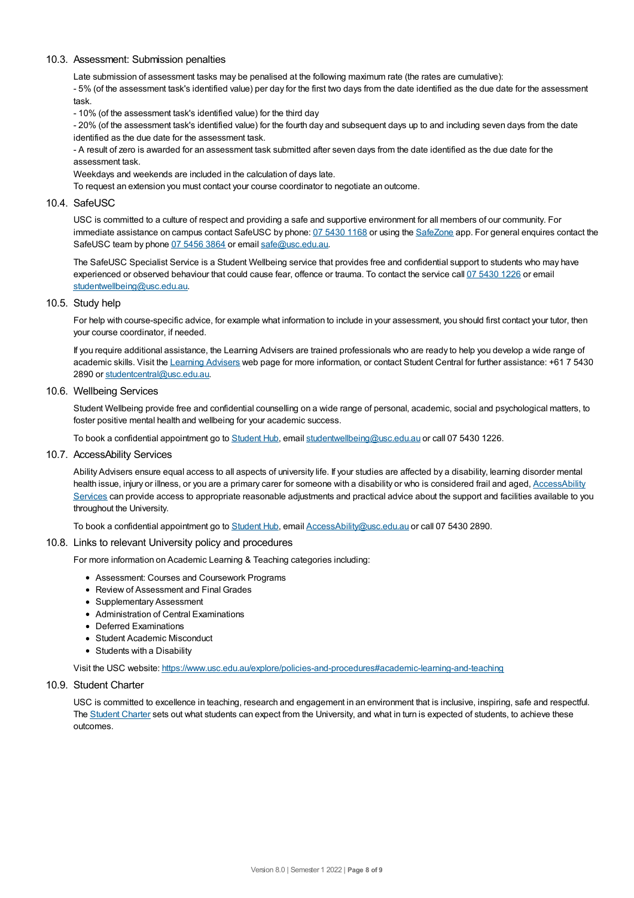## 10.3. Assessment: Submission penalties

Late submission of assessment tasks may be penalised at the following maximum rate (the rates are cumulative):

- 5% (of the assessment task's identified value) per day for the first two days from the date identified as the due date for the assessment task.

- 10% (of the assessment task's identified value) for the third day

- 20% (of the assessment task's identified value) for the fourth day and subsequent days up to and including seven days from the date identified as the due date for the assessment task.

- A result of zero is awarded for an assessment task submitted after seven days from the date identified as the due date for the assessment task.

Weekdays and weekends are included in the calculation of days late.

To request an extension you must contact your course coordinator to negotiate an outcome.

### 10.4. SafeUSC

USC is committed to a culture of respect and providing a safe and supportive environment for all members of our community. For immediate assistance on campus contact SafeUSC by phone: 07 [5430](tel:07%205430%201168) 1168 or using the [SafeZone](https://www.safezoneapp.com) app. For general enquires contact the SafeUSC team by phone 07 [5456](tel:07%205456%203864) 3864 or email [safe@usc.edu.au](mailto:safe@usc.edu.au).

The SafeUSC Specialist Service is a Student Wellbeing service that provides free and confidential support to students who may have experienced or observed behaviour that could cause fear, offence or trauma. To contact the service call 07 [5430](tel:07%205430%201226) 1226 or email [studentwellbeing@usc.edu.au](mailto:studentwellbeing@usc.edu.au).

### 10.5. Study help

For help with course-specific advice, for example what information to include in your assessment, you should first contact your tutor, then your course coordinator, if needed.

If you require additional assistance, the Learning Advisers are trained professionals who are ready to help you develop a wide range of academic skills. Visit the Learning [Advisers](https://www.usc.edu.au/current-students/student-support/academic-and-study-support/learning-advisers) web page for more information, or contact Student Central for further assistance: +61 7 5430 2890 or [studentcentral@usc.edu.au](mailto:studentcentral@usc.edu.au).

### 10.6. Wellbeing Services

Student Wellbeing provide free and confidential counselling on a wide range of personal, academic, social and psychological matters, to foster positive mental health and wellbeing for your academic success.

To book a confidential appointment go to [Student](https://studenthub.usc.edu.au/) Hub, email [studentwellbeing@usc.edu.au](mailto:studentwellbeing@usc.edu.au) or call 07 5430 1226.

### 10.7. AccessAbility Services

Ability Advisers ensure equal access to all aspects of university life. If your studies are affected by a disability, learning disorder mental health issue, injury or illness, or you are a primary carer for someone with a disability or who is considered frail and aged, [AccessAbility](https://www.usc.edu.au/learn/student-support/accessability-services/documentation-requirements) Services can provide access to appropriate reasonable adjustments and practical advice about the support and facilities available to you throughout the University.

To book a confidential appointment go to [Student](https://studenthub.usc.edu.au/) Hub, email [AccessAbility@usc.edu.au](mailto:AccessAbility@usc.edu.au) or call 07 5430 2890.

### 10.8. Links to relevant University policy and procedures

For more information on Academic Learning & Teaching categories including:

- Assessment: Courses and Coursework Programs
- Review of Assessment and Final Grades
- Supplementary Assessment
- Administration of Central Examinations
- **•** Deferred Examinations
- Student Academic Misconduct
- Students with a Disability

Visit the USC website: <https://www.usc.edu.au/explore/policies-and-procedures#academic-learning-and-teaching>

### 10.9. Student Charter

USC is committed to excellence in teaching, research and engagement in an environment that is inclusive, inspiring, safe and respectful. The [Student](https://www.usc.edu.au/current-students/student-charter) Charter sets out what students can expect from the University, and what in turn is expected of students, to achieve these outcomes.